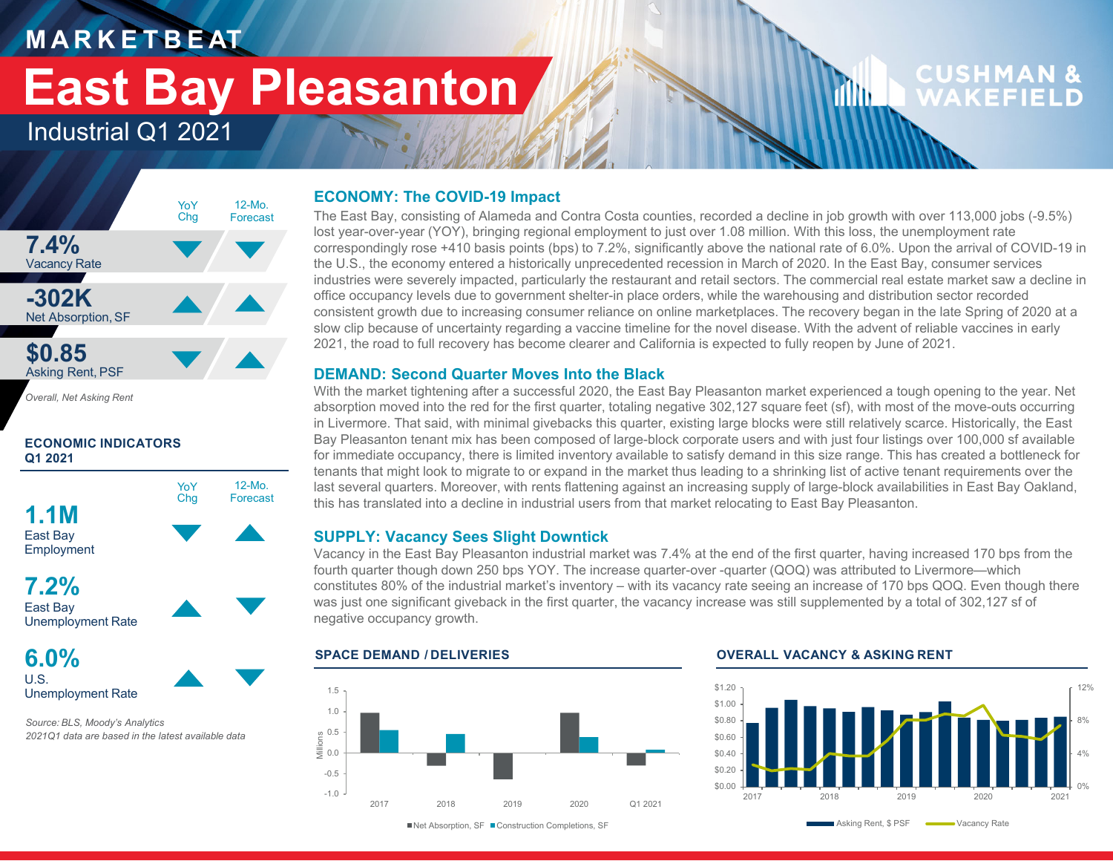### **M A R K E T B E AT**

# **East Bay Pleasanton**

### Industrial Q1 2021



*Overall, Net Asking Rent*

#### **ECONOMIC INDICATORS Q1 2021**



**6.0%**U.S.Unemployment Rate

*Source: BLS, Moody's Analytics 2021Q1 data are based in the latest available data*

#### **ECONOMY: The COVID-19 Impact**

The East Bay, consisting of Alameda and Contra Costa counties, recorded a decline in job growth with over 113,000 jobs (-9.5%) lost year-over-year (YOY), bringing regional employment to just over 1.08 million. With this loss, the unemployment rate correspondingly rose +410 basis points (bps) to 7.2%, significantly above the national rate of 6.0%. Upon the arrival of COVID-19 in the U.S., the economy entered a historically unprecedented recession in March of 2020. In the East Bay, consumer services industries were severely impacted, particularly the restaurant and retail sectors. The commercial real estate market saw a decline in office occupancy levels due to government shelter-in place orders, while the warehousing and distribution sector recorded consistent growth due to increasing consumer reliance on online marketplaces. The recovery began in the late Spring of 2020 at a slow clip because of uncertainty regarding a vaccine timeline for the novel disease. With the advent of reliable vaccines in early 2021, the road to full recovery has become clearer and California is expected to fully reopen by June of 2021.

#### **DEMAND: Second Quarter Moves Into the Black**

With the market tightening after a successful 2020, the East Bay Pleasanton market experienced a tough opening to the year. Net absorption moved into the red for the first quarter, totaling negative 302,127 square feet (sf), with most of the move-outs occurring in Livermore. That said, with minimal givebacks this quarter, existing large blocks were still relatively scarce. Historically, the East Bay Pleasanton tenant mix has been composed of large-block corporate users and with just four listings over 100,000 sf available for immediate occupancy, there is limited inventory available to satisfy demand in this size range. This has created a bottleneck for tenants that might look to migrate to or expand in the market thus leading to a shrinking list of active tenant requirements over the last several quarters. Moreover, with rents flattening against an increasing supply of large-block availabilities in East Bay Oakland, this has translated into a decline in industrial users from that market relocating to East Bay Pleasanton.

#### **SUPPLY: Vacancy Sees Slight Downtick**

Vacancy in the East Bay Pleasanton industrial market was 7.4% at the end of the first quarter, having increased 170 bps from the fourth quarter though down 250 bps YOY. The increase quarter-over -quarter (QOQ) was attributed to Livermore—which constitutes 80% of the industrial market's inventory – with its vacancy rate seeing an increase of 170 bps QOQ. Even though there was just one significant giveback in the first quarter, the vacancy increase was still supplemented by a total of 302,127 sf of negative occupancy growth.

#### -1.0-0.50.0 0.5 Millions 1.01.52017 2018 2019 2020 Q1 2021

**SPACE DEMAND / DELIVERIES OVERALL VACANCY & ASKING RENT**

rflin.



**CUSHMAN &** 

WAKFFIFI

■Net Absorption, SF ■ Construction Completions, SF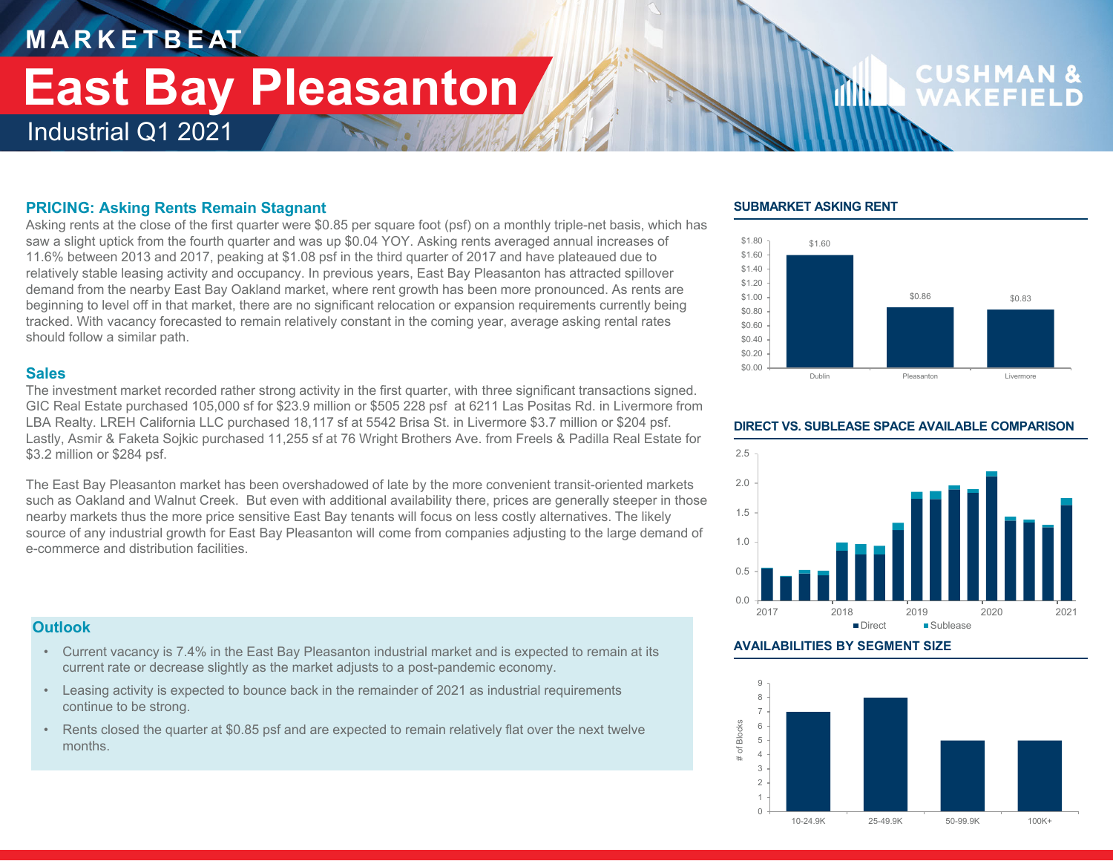## **M A R K E T B E AT** Industrial Q1 2021 **East Bay Pleasanton**

# **CUSHMA**

#### **PRICING: Asking Rents Remain Stagnant**

Asking rents at the close of the first quarter were \$0.85 per square foot (psf) on a monthly triple-net basis, which has saw a slight uptick from the fourth quarter and was up \$0.04 YOY. Asking rents averaged annual increases of 11.6% between 2013 and 2017, peaking at \$1.08 psf in the third quarter of 2017 and have plateaued due to relatively stable leasing activity and occupancy. In previous years, East Bay Pleasanton has attracted spillover demand from the nearby East Bay Oakland market, where rent growth has been more pronounced. As rents are beginning to level off in that market, there are no significant relocation or expansion requirements currently being tracked. With vacancy forecasted to remain relatively constant in the coming year, average asking rental rates should follow a similar path.

#### **Sales**

The investment market recorded rather strong activity in the first quarter, with three significant transactions signed. GIC Real Estate purchased 105,000 sf for \$23.9 million or \$505 228 psf at 6211 Las Positas Rd. in Livermore from LBA Realty. LREH California LLC purchased 18,117 sf at 5542 Brisa St. in Livermore \$3.7 million or \$204 psf. Lastly, Asmir & Faketa Sojkic purchased 11,255 sf at 76 Wright Brothers Ave. from Freels & Padilla Real Estate for \$3.2 million or \$284 psf.

The East Bay Pleasanton market has been overshadowed of late by the more convenient transit-oriented markets such as Oakland and Walnut Creek. But even with additional availability there, prices are generally steeper in those nearby markets thus the more price sensitive East Bay tenants will focus on less costly alternatives. The likely source of any industrial growth for East Bay Pleasanton will come from companies adjusting to the large demand of e-commerce and distribution facilities.

#### **Outlook**

- Current vacancy is 7.4% in the East Bay Pleasanton industrial market and is expected to remain at its current rate or decrease slightly as the market adjusts to a post-pandemic economy.
- Leasing activity is expected to bounce back in the remainder of 2021 as industrial requirements continue to be strong.
- Rents closed the quarter at \$0.85 psf and are expected to remain relatively flat over the next twelve months.

#### **SUBMARKET ASKING RENT**

film.





#### **DIRECT VS. SUBLEASE SPACE AVAILABLE COMPARISON**

#### **AVAILABILITIES BY SEGMENT SIZE**

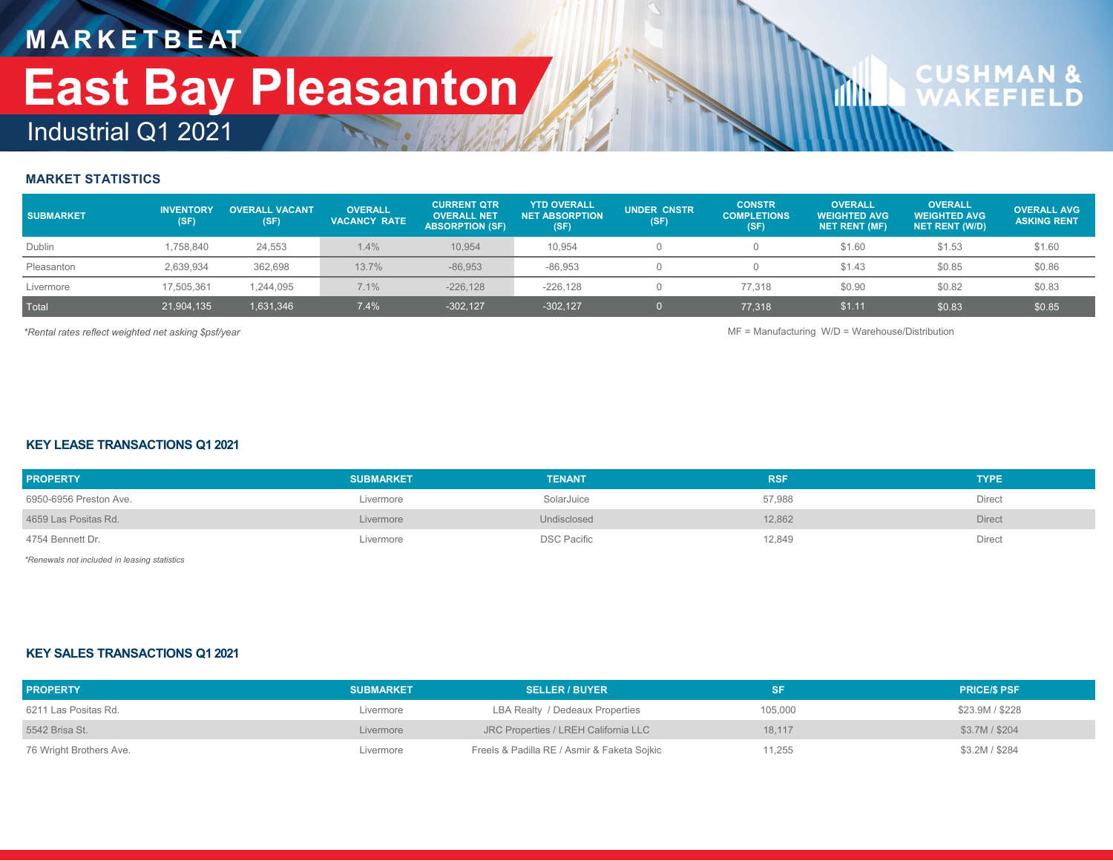## **M A R K E T B E AT** Industrial Q1 2021 **East Bay Pleasanton**

# **CUSHMAN &**<br>WAKFFIFLD

#### **MARKET STATISTICS**

| <b>SUBMARKET</b> | <b>INVENTORY</b><br>(SF) | <b>OVERALL VACANT</b><br>(SF) | <b>OVERALL</b><br><b>VACANCY RATE</b> | <b>CURRENT QTR</b><br><b>OVERALL NET</b><br><b>ABSORPTION (SF)</b> | <b>YTD OVERALL</b><br><b>NET ABSORPTION</b><br>(SF) | <b>UNDER CNSTR</b><br>(SF) | <b>CONSTR</b><br><b>COMPLETIONS</b><br>(SF) | <b>OVERALL</b><br><b>WEIGHTED AVG</b><br><b>NET RENT (MF)</b> | <b>OVERALL</b><br><b>WEIGHTED AVG</b><br><b>NET RENT (W/D)</b> | <b>OVERALL AVG</b><br><b>ASKING RENT</b> |
|------------------|--------------------------|-------------------------------|---------------------------------------|--------------------------------------------------------------------|-----------------------------------------------------|----------------------------|---------------------------------------------|---------------------------------------------------------------|----------------------------------------------------------------|------------------------------------------|
| Dublin           | 1,758,840                | 24,553                        | 1.4%                                  | 10.954                                                             | 10.954                                              |                            |                                             | \$1.60                                                        | \$1.53                                                         | \$1.60                                   |
| Pleasanton       | 2,639,934                | 362,698                       | 13.7%                                 | $-86,953$                                                          | $-86.953$                                           |                            |                                             | \$1.43                                                        | \$0.85                                                         | \$0.86                                   |
| Livermore        | 17,505,361               | 1,244,095                     | 7.1%                                  | $-226, 128$                                                        | $-226.128$                                          |                            | 77.318                                      | \$0.90                                                        | \$0.82                                                         | \$0.83                                   |
| Total            | 21,904,135               | 1,631,346                     | 7.4%                                  | $-302.127$                                                         | $-302, 127$                                         |                            | 77,318                                      | \$1.11                                                        | \$0.83                                                         | \$0.85                                   |

*\*Rental rates reflect weighted net asking \$psf/year* MF = Manufacturing W/D = Warehouse/Distribution

**d** 

#### **KEY LEASE TRANSACTIONS Q1 2021**

| <b>PROPERTY</b>        | <b>SUBMARKET</b> | <b>TENANT</b>      | <b>RSR</b> | <b>TYPE</b>   |
|------------------------|------------------|--------------------|------------|---------------|
| 6950-6956 Preston Ave. | Livermore        | SolarJuice         | 57,988     | Direct        |
| 4659 Las Positas Rd.   | Livermore        | Undisclosed        | 12.862     | <b>Direct</b> |
| 4754 Bennett Dr.       | Livermore        | <b>DSC Pacific</b> | 12,849     | Direct        |

*\*Renewals not included in leasing statistics*

#### **KEY SALES TRANSACTIONS Q1 2021**

| <b>PROPERTY</b>         | <b>SUBMARKET</b> | <b>SELLER / BUYER</b>                       |         | <b>PRICE/S PSF</b> |
|-------------------------|------------------|---------------------------------------------|---------|--------------------|
| 6211 Las Positas Rd.    | Livermore        | LBA Realty / Dedeaux Properties             | 105,000 | \$23.9M / \$228    |
| 5542 Brisa St.          | Livermore        | JRC Properties / LREH California LLC        | 18.117  | \$3.7M / \$204     |
| 76 Wright Brothers Ave. | Livermore        | Freels & Padilla RE / Asmir & Faketa Sojkic | 11.255  | \$3.2M / \$284     |